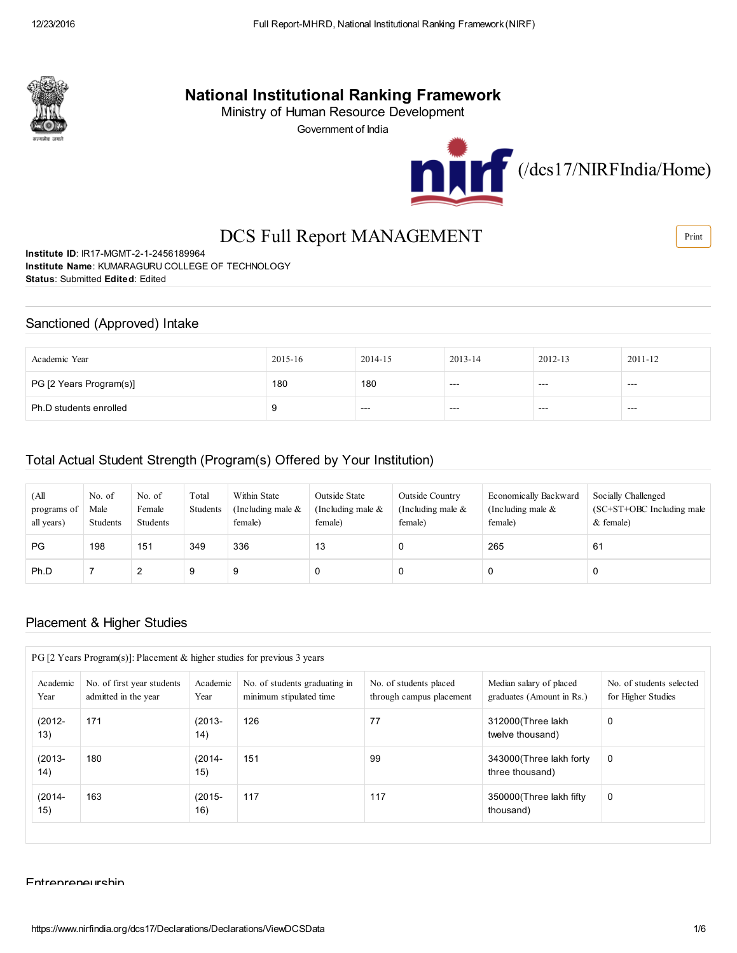

# National Institutional Ranking Framework

Ministry of Human Resource Development

Government of India



# DCS Full Report MANAGEMENT

Institute ID: IR17-MGMT-2-1-2456189964 Institute Name: KUMARAGURU COLLEGE OF TECHNOLOGY Status: Submitted Edited: Edited

### Sanctioned (Approved) Intake

| Academic Year           | 2015-16 | 2014-15 | $2013 - 14$ | 2012-13 | 2011-12 |
|-------------------------|---------|---------|-------------|---------|---------|
| PG [2 Years Program(s)] | 180     | 180     | ---         | $---$   | ---     |
| Ph.D students enrolled  |         | $---$   | $---$       | $---$   | $---$   |

### Total Actual Student Strength (Program(s) Offered by Your Institution)

| (All<br>programs of<br>all years) | No. of<br>Male<br>Students | No. of<br>Female<br>Students | Total<br>Students | Within State<br>(Including male $\&$<br>female) | Outside State<br>(Including male $&$<br>female) | Outside Country<br>(Including male $\&$<br>female) | Economically Backward<br>(Including male $\&$<br>female) | Socially Challenged<br>$SC+ST+OBC$ Including male<br>$&$ female) |
|-----------------------------------|----------------------------|------------------------------|-------------------|-------------------------------------------------|-------------------------------------------------|----------------------------------------------------|----------------------------------------------------------|------------------------------------------------------------------|
| <b>PG</b>                         | 198                        | 151                          | 349               | 336                                             | 13                                              |                                                    | 265                                                      | 61                                                               |
| Ph.D                              |                            | ے                            | 9                 |                                                 |                                                 |                                                    | C                                                        | 0                                                                |

### Placement & Higher Studies

| $PG$ [2 Years Program(s)]: Placement & higher studies for previous 3 years |                                                    |                  |                                                          |                                                    |                                                      |                                                |  |
|----------------------------------------------------------------------------|----------------------------------------------------|------------------|----------------------------------------------------------|----------------------------------------------------|------------------------------------------------------|------------------------------------------------|--|
| Academic<br>Year                                                           | No. of first year students<br>admitted in the year | Academic<br>Year | No. of students graduating in<br>minimum stipulated time | No. of students placed<br>through campus placement | Median salary of placed<br>graduates (Amount in Rs.) | No. of students selected<br>for Higher Studies |  |
| $(2012 -$<br>13)                                                           | 171                                                | $(2013 -$<br>14) | 126                                                      | 77                                                 | 312000(Three lakh<br>twelve thousand)                | 0                                              |  |
| $(2013 -$<br>14)                                                           | 180                                                | $(2014 -$<br>15) | 151                                                      | 99                                                 | 343000 (Three lakh forty<br>three thousand)          | 0                                              |  |
| $(2014 -$<br>15)                                                           | 163                                                | $(2015 -$<br>16) | 117                                                      | 117                                                | 350000 (Three lakh fifty)<br>thousand)               | 0                                              |  |

Entrepreneurship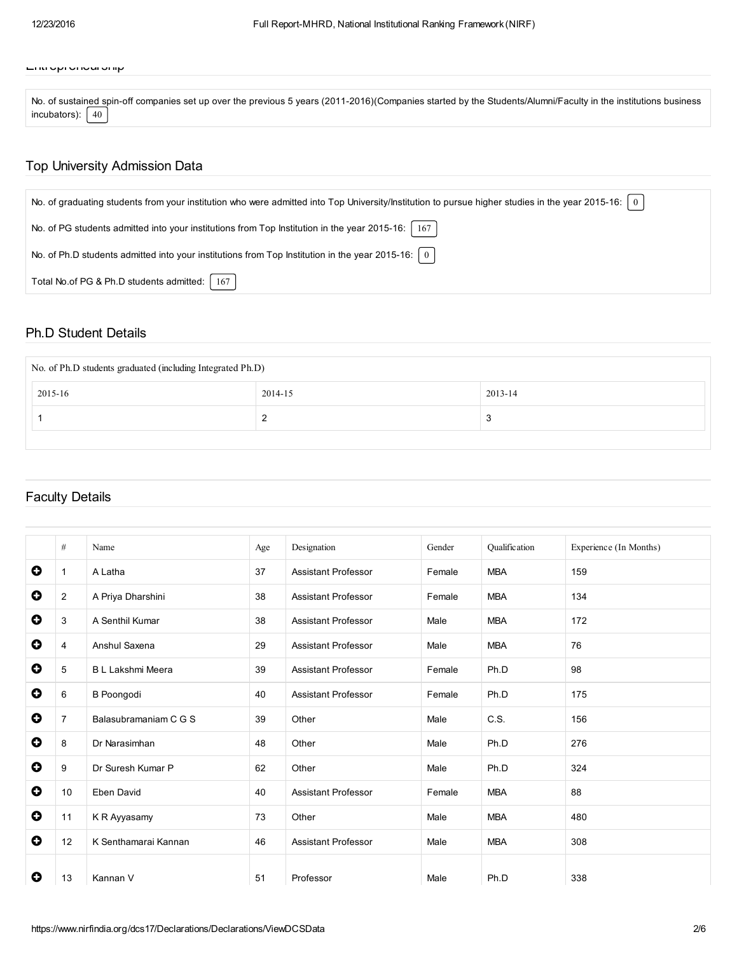#### Entrepreneurship

No. of sustained spin-off companies set up over the previous 5 years (2011-2016)(Companies started by the Students/Alumni/Faculty in the institutions business incubators):  $\sqrt{40}$ 

### Top University Admission Data

| No. of graduating students from your institution who were admitted into Top University/Institution to pursue higher studies in the year 2015-16:   0 |
|------------------------------------------------------------------------------------------------------------------------------------------------------|
| No. of PG students admitted into your institutions from Top Institution in the year 2015-16:<br>167                                                  |
| No. of Ph.D students admitted into your institutions from Top Institution in the year 2015-16: $\mid 0 \mid$                                         |
| Total No.of PG & Ph.D students admitted:   167                                                                                                       |

#### Ph.D Student Details

| No. of Ph.D students graduated (including Integrated Ph.D) |         |         |  |  |  |
|------------------------------------------------------------|---------|---------|--|--|--|
| 2015-16                                                    | 2014-15 | 2013-14 |  |  |  |
|                                                            | $\sim$  | د.      |  |  |  |
|                                                            |         |         |  |  |  |

### Faculty Details

|           | $\#$           | Name                    | Age | Designation                | Gender | Oualification | Experience (In Months) |
|-----------|----------------|-------------------------|-----|----------------------------|--------|---------------|------------------------|
| 0         | $\mathbf{1}$   | A Latha                 | 37  | <b>Assistant Professor</b> | Female | <b>MBA</b>    | 159                    |
| $\bullet$ | $\overline{2}$ | A Priya Dharshini       | 38  | <b>Assistant Professor</b> | Female | <b>MBA</b>    | 134                    |
| $\bullet$ | 3              | A Senthil Kumar         | 38  | <b>Assistant Professor</b> | Male   | <b>MBA</b>    | 172                    |
| $\bullet$ | 4              | Anshul Saxena           | 29  | <b>Assistant Professor</b> | Male   | <b>MBA</b>    | 76                     |
| $\bullet$ | 5              | <b>BL Lakshmi Meera</b> | 39  | <b>Assistant Professor</b> | Female | Ph.D          | 98                     |
| $\bullet$ | 6              | <b>B</b> Poongodi       | 40  | <b>Assistant Professor</b> | Female | Ph.D          | 175                    |
| $\bullet$ | $\overline{7}$ | Balasubramaniam C G S   | 39  | Other                      | Male   | C.S.          | 156                    |
| $\bullet$ | 8              | Dr Narasimhan           | 48  | Other                      | Male   | Ph.D          | 276                    |
| $\bullet$ | 9              | Dr Suresh Kumar P       | 62  | Other                      | Male   | Ph.D          | 324                    |
| $\bullet$ | 10             | Eben David              | 40  | <b>Assistant Professor</b> | Female | <b>MBA</b>    | 88                     |
| $\bullet$ | 11             | K R Ayyasamy            | 73  | Other                      | Male   | <b>MBA</b>    | 480                    |
| $\bullet$ | 12             | K Senthamarai Kannan    | 46  | <b>Assistant Professor</b> | Male   | <b>MBA</b>    | 308                    |
| 0         | 13             | Kannan V                | 51  | Professor                  | Male   | Ph.D          | 338                    |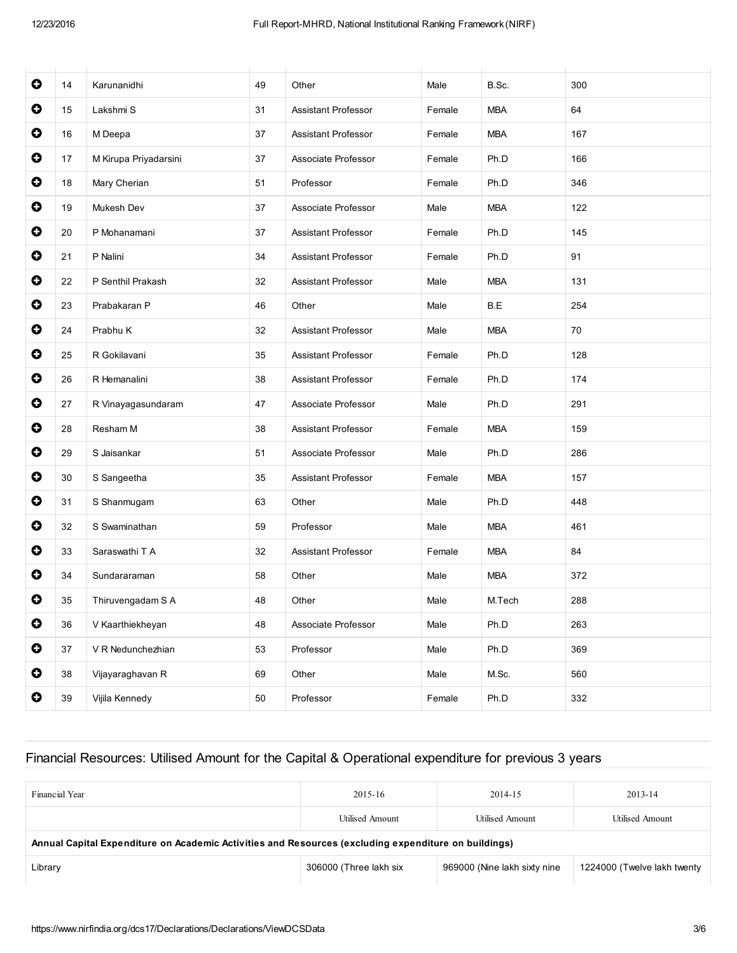| $\bullet$ | 14     | Karunanidhi           | 49 | Other                      | Male   | B.Sc.      | 300 |
|-----------|--------|-----------------------|----|----------------------------|--------|------------|-----|
| $\bullet$ | 15     | Lakshmi S             | 31 | <b>Assistant Professor</b> | Female | <b>MBA</b> | 64  |
| $\bullet$ | 16     | M Deepa               | 37 | <b>Assistant Professor</b> | Female | <b>MBA</b> | 167 |
| $\bullet$ | 17     | M Kirupa Priyadarsini | 37 | Associate Professor        | Female | Ph.D       | 166 |
| $\bullet$ | 18     | Mary Cherian          | 51 | Professor                  | Female | Ph.D       | 346 |
| $\bullet$ | 19     | Mukesh Dev            | 37 | Associate Professor        | Male   | <b>MBA</b> | 122 |
| $\bullet$ | 20     | P Mohanamani          | 37 | Assistant Professor        | Female | Ph.D       | 145 |
| $\bullet$ | 21     | P Nalini              | 34 | <b>Assistant Professor</b> | Female | Ph.D       | 91  |
| $\bullet$ | 22     | P Senthil Prakash     | 32 | <b>Assistant Professor</b> | Male   | <b>MBA</b> | 131 |
| $\bullet$ | 23     | Prabakaran P          | 46 | Other                      | Male   | B.E        | 254 |
| $\bullet$ | 24     | Prabhu K              | 32 | Assistant Professor        | Male   | <b>MBA</b> | 70  |
| $\bullet$ | 25     | R Gokilavani          | 35 | Assistant Professor        | Female | Ph.D       | 128 |
| $\bullet$ | 26     | R Hemanalini          | 38 | <b>Assistant Professor</b> | Female | Ph.D       | 174 |
| $\bullet$ | 27     | R Vinayagasundaram    | 47 | Associate Professor        | Male   | Ph.D       | 291 |
| $\bullet$ | 28     | Resham M              | 38 | <b>Assistant Professor</b> | Female | <b>MBA</b> | 159 |
| $\bullet$ | 29     | S Jaisankar           | 51 | Associate Professor        | Male   | Ph.D       | 286 |
| $\bullet$ | 30     | S Sangeetha           | 35 | <b>Assistant Professor</b> | Female | <b>MBA</b> | 157 |
| $\bullet$ | 31     | S Shanmugam           | 63 | Other                      | Male   | Ph.D       | 448 |
| $\bullet$ | 32     | S Swaminathan         | 59 | Professor                  | Male   | <b>MBA</b> | 461 |
| $\bullet$ | 33     | Saraswathi T A        | 32 | <b>Assistant Professor</b> | Female | <b>MBA</b> | 84  |
| $\bullet$ | 34     | Sundararaman          | 58 | Other                      | Male   | <b>MBA</b> | 372 |
| $\bullet$ | 35     | Thiruvengadam S A     | 48 | Other                      | Male   | M.Tech     | 288 |
| $\bullet$ | 36     | V Kaarthiekheyan      | 48 | Associate Professor        | Male   | Ph.D       | 263 |
| $\bullet$ | 37     | V R Nedunchezhian     | 53 | Professor                  | Male   | Ph.D       | 369 |
| $\bullet$ | $38\,$ | Vijayaraghavan R      | 69 | Other                      | Male   | M.Sc.      | 560 |
| $\bullet$ | 39     | Vijila Kennedy        | 50 | Professor                  | Female | Ph.D       | 332 |

## Financial Resources: Utilised Amount for the Capital & Operational expenditure for previous 3 years

| Financial Year                                                                                       | 2015-16                | 2014-15                      | $2013 - 14$                 |  |  |  |
|------------------------------------------------------------------------------------------------------|------------------------|------------------------------|-----------------------------|--|--|--|
|                                                                                                      | Utilised Amount        | Utilised Amount              | Utilised Amount             |  |  |  |
| Annual Capital Expenditure on Academic Activities and Resources (excluding expenditure on buildings) |                        |                              |                             |  |  |  |
| Library                                                                                              | 306000 (Three lakh six | 969000 (Nine lakh sixty nine | 1224000 (Twelve lakh twenty |  |  |  |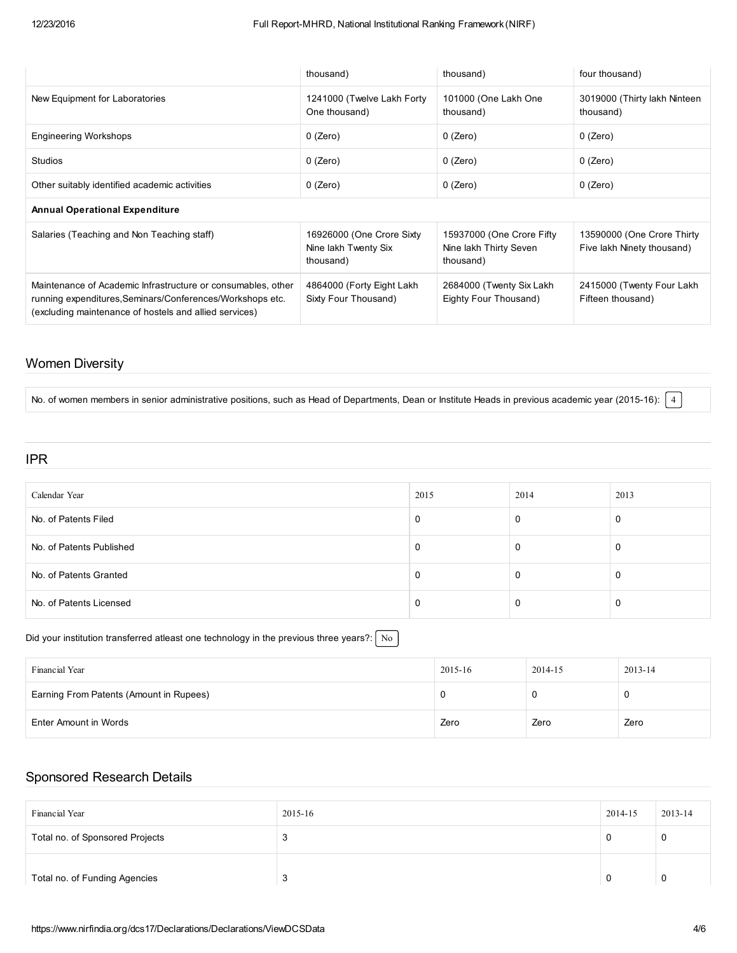|                                                                                                                                                                                     | thousand)                                                      | thousand)                                                        | four thousand)                                           |
|-------------------------------------------------------------------------------------------------------------------------------------------------------------------------------------|----------------------------------------------------------------|------------------------------------------------------------------|----------------------------------------------------------|
| New Equipment for Laboratories                                                                                                                                                      | 1241000 (Twelve Lakh Forty<br>One thousand)                    | 101000 (One Lakh One<br>thousand)                                | 3019000 (Thirty lakh Ninteen<br>thousand)                |
| <b>Engineering Workshops</b>                                                                                                                                                        | $0$ (Zero)                                                     | $0$ (Zero)                                                       | $0$ (Zero)                                               |
| <b>Studios</b>                                                                                                                                                                      | $0$ (Zero)                                                     | $0$ (Zero)                                                       | $0$ (Zero)                                               |
| Other suitably identified academic activities                                                                                                                                       | $0$ (Zero)                                                     | $0$ (Zero)                                                       | $0$ (Zero)                                               |
| <b>Annual Operational Expenditure</b>                                                                                                                                               |                                                                |                                                                  |                                                          |
| Salaries (Teaching and Non Teaching staff)                                                                                                                                          | 16926000 (One Crore Sixty<br>Nine lakh Twenty Six<br>thousand) | 15937000 (One Crore Fifty<br>Nine lakh Thirty Seven<br>thousand) | 13590000 (One Crore Thirty<br>Five lakh Ninety thousand) |
| Maintenance of Academic Infrastructure or consumables, other<br>running expenditures, Seminars/Conferences/Workshops etc.<br>(excluding maintenance of hostels and allied services) | 4864000 (Forty Eight Lakh<br>Sixty Four Thousand)              | 2684000 (Twenty Six Lakh)<br>Eighty Four Thousand)               | 2415000 (Twenty Four Lakh)<br>Fifteen thousand)          |

## Women Diversity

No. of women members in senior administrative positions, such as Head of Departments, Dean or Institute Heads in previous academic year (2015-16):  $\boxed{4}$ 

#### IPR

| Calendar Year            | 2015 | 2014 | 2013 |
|--------------------------|------|------|------|
| No. of Patents Filed     |      |      |      |
| No. of Patents Published |      |      |      |
| No. of Patents Granted   |      |      |      |
| No. of Patents Licensed  |      |      |      |

#### Did your institution transferred atleast one technology in the previous three years?:  $\sqrt{\frac{N_o}{N_o}}$

| Financial Year                          | 2015-16 | 2014-15 | 2013-14 |
|-----------------------------------------|---------|---------|---------|
| Earning From Patents (Amount in Rupees) |         |         |         |
| Enter Amount in Words                   | Zero    | Zero    | Zero    |

## Sponsored Research Details

| Financial Year                  | 2015-16 | 2014-15 | 2013-14 |
|---------------------------------|---------|---------|---------|
| Total no. of Sponsored Projects | -3      | O       | 0       |
| Total no. of Funding Agencies   | 3       | 0       | 0       |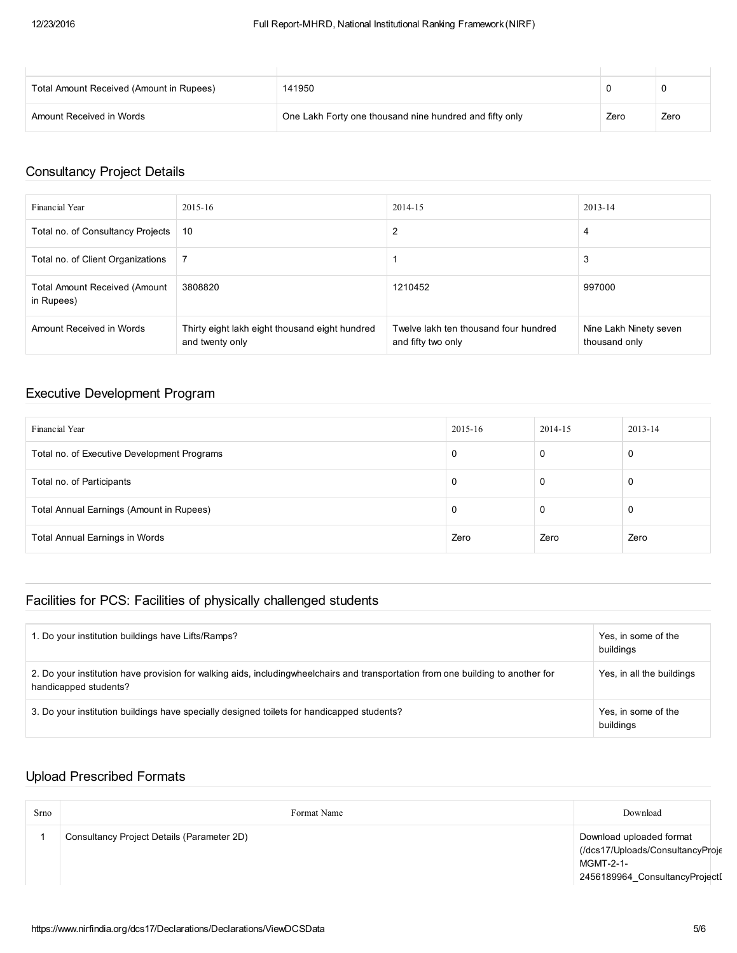| Total Amount Received (Amount in Rupees) | 141950                                                  |      |      |
|------------------------------------------|---------------------------------------------------------|------|------|
| Amount Received in Words                 | One Lakh Forty one thousand nine hundred and fifty only | Zero | Zero |

## Consultancy Project Details

| Financial Year                                     | 2015-16                                                           | 2014-15                                                     | 2013-14                                 |
|----------------------------------------------------|-------------------------------------------------------------------|-------------------------------------------------------------|-----------------------------------------|
| Total no. of Consultancy Projects                  | 10                                                                | 2                                                           | 4                                       |
| Total no. of Client Organizations                  |                                                                   |                                                             | 3                                       |
| <b>Total Amount Received (Amount</b><br>in Rupees) | 3808820                                                           | 1210452                                                     | 997000                                  |
| Amount Received in Words                           | Thirty eight lakh eight thousand eight hundred<br>and twenty only | Twelve lakh ten thousand four hundred<br>and fifty two only | Nine Lakh Ninety seven<br>thousand only |

### Executive Development Program

| Financial Year                              | 2015-16 | 2014-15 | $2013 - 14$ |
|---------------------------------------------|---------|---------|-------------|
| Total no. of Executive Development Programs | 0       | 0       |             |
| Total no. of Participants                   | 0       | 0       |             |
| Total Annual Earnings (Amount in Rupees)    | 0       | 0       |             |
| Total Annual Earnings in Words              | Zero    | Zero    | Zero        |

## Facilities for PCS: Facilities of physically challenged students

| 1. Do your institution buildings have Lifts/Ramps?                                                                                                         | Yes, in some of the<br>buildings |
|------------------------------------------------------------------------------------------------------------------------------------------------------------|----------------------------------|
| 2. Do your institution have provision for walking aids, including wheelchairs and transportation from one building to another for<br>handicapped students? | Yes, in all the buildings        |
| 3. Do your institution buildings have specially designed toilets for handicapped students?                                                                 | Yes, in some of the<br>buildings |

## Upload Prescribed Formats

| Srno | Format Name                                | Download                                                                                                    |
|------|--------------------------------------------|-------------------------------------------------------------------------------------------------------------|
|      | Consultancy Project Details (Parameter 2D) | Download uploaded format<br>(/dcs17/Uploads/ConsultancyProje<br>MGMT-2-1-<br>2456189964_ConsultancyProjectI |